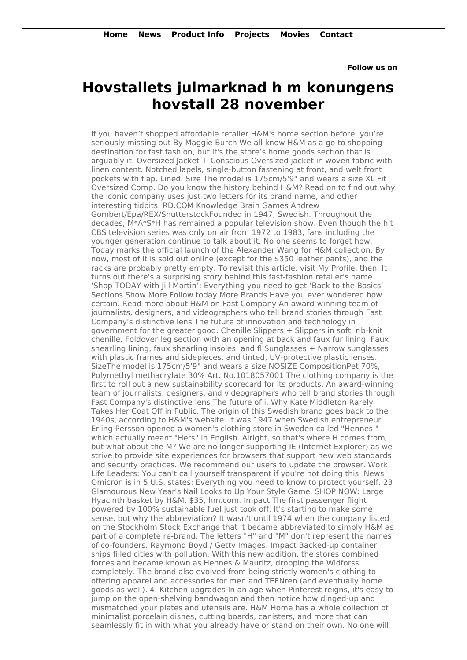**Follow us on**

## **Hovstallets julmarknad h m konungens hovstall 28 november**

If you haven't shopped affordable retailer H&M's home section before, you're seriously missing out By Maggie Burch We all know H&M as a go-to shopping destination for fast fashion, but it's the store's home goods section that is arguably it. Oversized Jacket + Conscious Oversized jacket in woven fabric with linen content. Notched lapels, single-button fastening at front, and welt front pockets with flap. Lined. Size The model is 175cm/5'9" and wears a size XL Fit Oversized Comp. Do you know the history behind H&M? Read on to find out why the iconic company uses just two letters for its brand name, and other interesting tidbits. RD.COM Knowledge Brain Games Andrew Gombert/Epa/REX/ShutterstockFounded in 1947, Swedish. Throughout the decades, M\*A\*S\*H has remained a popular television show. Even though the hit CBS television series was only on air from 1972 to 1983, fans including the younger generation continue to talk about it. No one seems to forget how. Today marks the official launch of the Alexander Wang for H&M collection. By now, most of it is sold out online (except for the \$350 leather pants), and the racks are probably pretty empty. To revisit this article, visit My Profile, then. It turns out there's a surprising story behind this fast-fashion retailer's name. 'Shop TODAY with Jill Martin': Everything you need to get 'Back to the Basics' Sections Show More Follow today More Brands Have you ever wondered how certain. Read more about H&M on Fast Company An award-winning team of journalists, designers, and videographers who tell brand stories through Fast Company's distinctive lens The future of innovation and technology in government for the greater good. Chenille Slippers + Slippers in soft, rib-knit chenille. Foldover leg section with an opening at back and faux fur lining. Faux shearling lining, faux shearling insoles, and fl Sunglasses + Narrow sunglasses with plastic frames and sidepieces, and tinted, UV-protective plastic lenses. SizeThe model is 175cm/5'9" and wears a size NOSIZE CompositionPet 70%, Polymethyl methacrylate 30% Art. No.1018057001 The clothing company is the first to roll out a new sustainability scorecard for its products. An award-winning team of journalists, designers, and videographers who tell brand stories through Fast Company's distinctive lens The future of i. Why Kate Middleton Rarely Takes Her Coat Off in Public. The origin of this Swedish brand goes back to the 1940s, according to H&M's website. It was 1947 when Swedish entrepreneur Erling Persson opened a women's clothing store in Sweden called "Hennes," which actually meant "Hers" in English. Alright, so that's where H comes from, but what about the M? We are no longer supporting IE (Internet Explorer) as we strive to provide site experiences for browsers that support new web standards and security practices. We recommend our users to update the browser. Work Life Leaders: You can't call yourself transparent if you're not doing this. News Omicron is in 5 U.S. states: Everything you need to know to protect yourself. 23 Glamourous New Year's Nail Looks to Up Your Style Game. SHOP NOW: Large Hyacinth basket by H&M, \$35, hm.com. Impact The first passenger flight powered by 100% sustainable fuel just took off. It's starting to make some sense, but why the abbreviation? It wasn't until 1974 when the company listed on the Stockholm Stock Exchange that it became abbreviated to simply H&M as part of a complete re-brand. The letters "H" and "M" don't represent the names of co-founders. Raymond Boyd / Getty Images. Impact Backed-up container ships filled cities with pollution. With this new addition, the stores combined forces and became known as Hennes & Mauritz, dropping the Widforss completely. The brand also evolved from being strictly women's clothing to offering apparel and accessories for men and TEENren (and eventually home goods as well). 4. Kitchen upgrades In an age when Pinterest reigns, it's easy to jump on the open-shelving bandwagon and then notice how dinged-up and mismatched your plates and utensils are. H&M Home has a whole collection of minimalist porcelain dishes, cutting boards, canisters, and more that can seamlessly fit in with what you already have or stand on their own. No one will